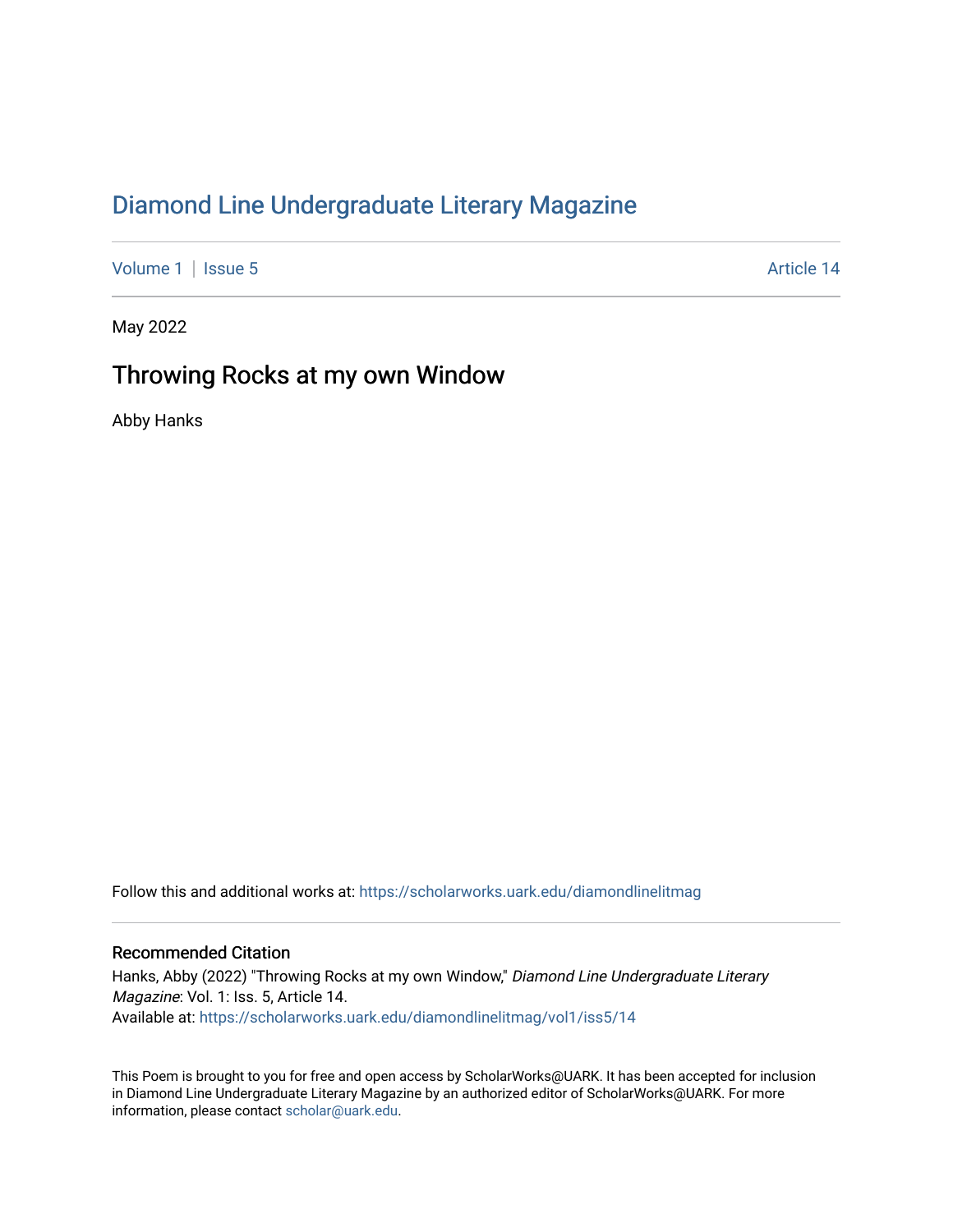## [Diamond Line Undergraduate Literary Magazine](https://scholarworks.uark.edu/diamondlinelitmag)

[Volume 1](https://scholarworks.uark.edu/diamondlinelitmag/vol1) | [Issue 5](https://scholarworks.uark.edu/diamondlinelitmag/vol1/iss5) Article 14

May 2022

## Throwing Rocks at my own Window

Abby Hanks

Follow this and additional works at: [https://scholarworks.uark.edu/diamondlinelitmag](https://scholarworks.uark.edu/diamondlinelitmag?utm_source=scholarworks.uark.edu%2Fdiamondlinelitmag%2Fvol1%2Fiss5%2F14&utm_medium=PDF&utm_campaign=PDFCoverPages) 

## Recommended Citation

Hanks, Abby (2022) "Throwing Rocks at my own Window," Diamond Line Undergraduate Literary Magazine: Vol. 1: Iss. 5, Article 14. Available at: [https://scholarworks.uark.edu/diamondlinelitmag/vol1/iss5/14](https://scholarworks.uark.edu/diamondlinelitmag/vol1/iss5/14?utm_source=scholarworks.uark.edu%2Fdiamondlinelitmag%2Fvol1%2Fiss5%2F14&utm_medium=PDF&utm_campaign=PDFCoverPages) 

This Poem is brought to you for free and open access by ScholarWorks@UARK. It has been accepted for inclusion in Diamond Line Undergraduate Literary Magazine by an authorized editor of ScholarWorks@UARK. For more information, please contact [scholar@uark.edu.](mailto:scholar@uark.edu)